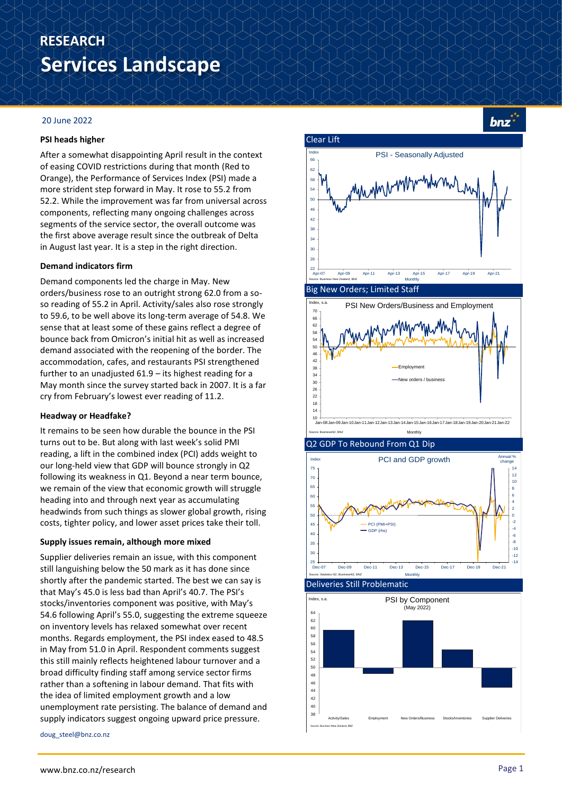# **Services Landscape RESEARCH**

### 20 June 2022

### **PSI heads higher**

After a somewhat disappointing April result in the context of easing COVID restrictions during that month (Red to Orange), the Performance of Services Index (PSI) made a more strident step forward in May. It rose to 55.2 from 52.2. While the improvement was far from universal across components, reflecting many ongoing challenges across segments of the service sector, the overall outcome was the first above average result since the outbreak of Delta in August last year. It is a step in the right direction.

### **Demand indicators firm**

Demand components led the charge in May. New orders/business rose to an outright strong 62.0 from a soso reading of 55.2 in April. Activity/sales also rose strongly to 59.6, to be well above its long-term average of 54.8. We sense that at least some of these gains reflect a degree of bounce back from Omicron's initial hit as well as increased demand associated with the reopening of the border. The accommodation, cafes, and restaurants PSI strengthened further to an unadjusted 61.9 – its highest reading for a May month since the survey started back in 2007. It is a far cry from February's lowest ever reading of 11.2.

### **Headway or Headfake?**

It remains to be seen how durable the bounce in the PSI turns out to be. But along with last week's solid PMI reading, a lift in the combined index (PCI) adds weight to our long-held view that GDP will bounce strongly in Q2 following its weakness in Q1. Beyond a near term bounce, we remain of the view that economic growth will struggle heading into and through next year as accumulating headwinds from such things as slower global growth, rising costs, tighter policy, and lower asset prices take their toll.

### **Supply issues remain, although more mixed**

Supplier deliveries remain an issue, with this component still languishing below the 50 mark as it has done since shortly after the pandemic started. The best we can say is that May's 45.0 is less bad than April's 40.7. The PSI's stocks/inventories component was positive, with May's 54.6 following April's 55.0, suggesting the extreme squeeze on inventory levels has relaxed somewhat over recent months. Regards employment, the PSI index eased to 48.5 in May from 51.0 in April. Respondent comments suggest this still mainly reflects heightened labour turnover and a broad difficulty finding staff among service sector firms rather than a softening in labour demand. That fits with the idea of limited employment growth and a low unemployment rate persisting. The balance of demand and supply indicators suggest ongoing upward price pressure.

doug\_steel@bnz.co.nz



bnz



Clear Lift



Deliveries Still Problematic